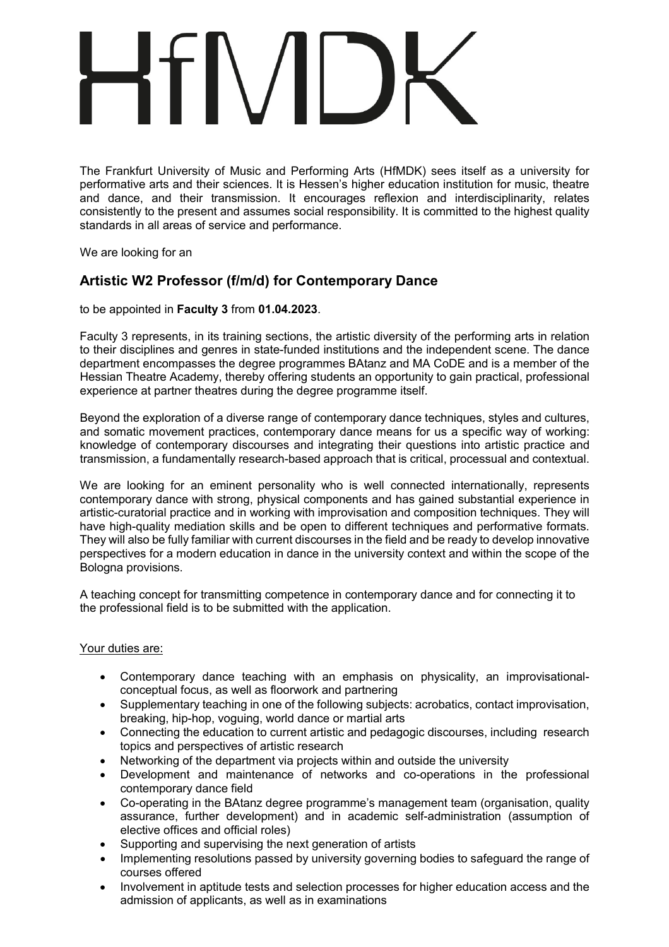The Frankfurt University of Music and Performing Arts (HfMDK) sees itself as a university for performative arts and their sciences. It is Hessen's higher education institution for music, theatre and dance, and their transmission. It encourages reflexion and interdisciplinarity, relates consistently to the present and assumes social responsibility. It is committed to the highest quality standards in all areas of service and performance.

We are looking for an

# **Artistic W2 Professor (f/m/d) for Contemporary Dance**

to be appointed in **Faculty 3** from **01.04.2023**.

Faculty 3 represents, in its training sections, the artistic diversity of the performing arts in relation to their disciplines and genres in state-funded institutions and the independent scene. The dance department encompasses the degree programmes BAtanz and MA CoDE and is a member of the Hessian Theatre Academy, thereby offering students an opportunity to gain practical, professional experience at partner theatres during the degree programme itself.

Beyond the exploration of a diverse range of contemporary dance techniques, styles and cultures, and somatic movement practices, contemporary dance means for us a specific way of working: knowledge of contemporary discourses and integrating their questions into artistic practice and transmission, a fundamentally research-based approach that is critical, processual and contextual.

We are looking for an eminent personality who is well connected internationally, represents contemporary dance with strong, physical components and has gained substantial experience in artistic-curatorial practice and in working with improvisation and composition techniques. They will have high-quality mediation skills and be open to different techniques and performative formats. They will also be fully familiar with current discourses in the field and be ready to develop innovative perspectives for a modern education in dance in the university context and within the scope of the Bologna provisions.

A teaching concept for transmitting competence in contemporary dance and for connecting it to the professional field is to be submitted with the application.

# Your duties are:

- Contemporary dance teaching with an emphasis on physicality, an improvisationalconceptual focus, as well as floorwork and partnering
- Supplementary teaching in one of the following subjects: acrobatics, contact improvisation, breaking, hip-hop, voguing, world dance or martial arts
- Connecting the education to current artistic and pedagogic discourses, including research topics and perspectives of artistic research
- Networking of the department via projects within and outside the university
- Development and maintenance of networks and co-operations in the professional contemporary dance field
- Co-operating in the BAtanz degree programme's management team (organisation, quality assurance, further development) and in academic self-administration (assumption of elective offices and official roles)
- Supporting and supervising the next generation of artists
- Implementing resolutions passed by university governing bodies to safeguard the range of courses offered
- Involvement in aptitude tests and selection processes for higher education access and the admission of applicants, as well as in examinations